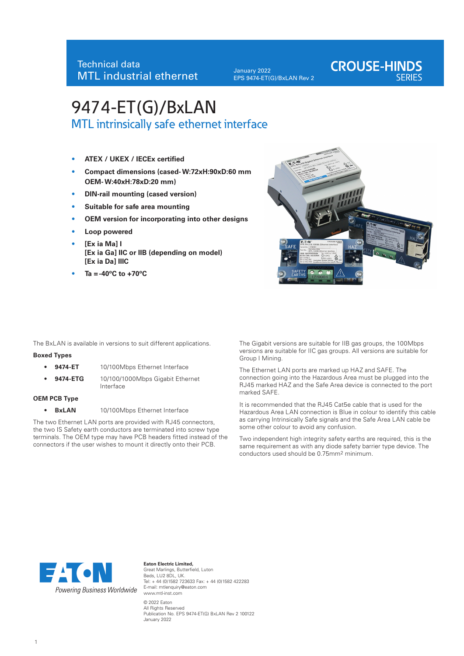January 2022 EPS 9474-ET(G)/BxLAN Rev 2

# **CROUSE-HINDS**

# 9474-ET(G)/BxLAN MTL intrinsically safe ethernet interface

- **ATEX / UKEX / IECEx certified**
- **Compact dimensions (cased- W:72xH:90xD:60 mm OEM- W:40xH:78xD:20 mm)**
- **DIN-rail mounting (cased version)**
- **Suitable for safe area mounting**
- **OEM version for incorporating into other designs**
- **Loop powered**
- **[Ex ia Ma] I [Ex ia Ga] IIC or IIB (depending on model) [Ex ia Da] IIIC**
- $Ta = -40^{\circ}C$  to  $+70^{\circ}C$



The BxLAN is available in versions to suit different applications.

#### **Boxed Types**

- **9474-ET** 10/100Mbps Ethernet Interface
	- **9474-ETG** 10/100/1000Mbps Gigabit Ethernet Interface

#### **OEM PCB Type**

• **BxLAN** 10/100Mbps Ethernet Interface

The two Ethernet LAN ports are provided with RJ45 connectors, the two IS Safety earth conductors are terminated into screw type terminals. The OEM type may have PCB headers fitted instead of the connectors if the user wishes to mount it directly onto their PCB.

The Gigabit versions are suitable for IIB gas groups, the 100Mbps versions are suitable for IIC gas groups. All versions are suitable for Group I Mining.

The Ethernet LAN ports are marked up HAZ and SAFE. The connection going into the Hazardous Area must be plugged into the RJ45 marked HAZ and the Safe Area device is connected to the port marked SAFE.

It is recommended that the RJ45 Cat5e cable that is used for the Hazardous Area LAN connection is Blue in colour to identify this cable as carrying Intrinsically Safe signals and the Safe Area LAN cable be some other colour to avoid any confusion.

Two independent high integrity safety earths are required, this is the same requirement as with any diode safety barrier type device. The conductors used should be 0.75mm2 minimum.



**Eaton Electric Limited,** Great Marlings, Butterfield, Luton Beds, LU2 8DL, UK. Tel: + 44 (0)1582 723633 Fax: + 44 (0)1582 422283 E-mail: mtlenquiry@eaton.com www.mtl-inst.com

© 2022 Eaton All Rights Reserved Publication No. EPS 9474-ET(G) BxLAN Rev 2 100122 January 2022